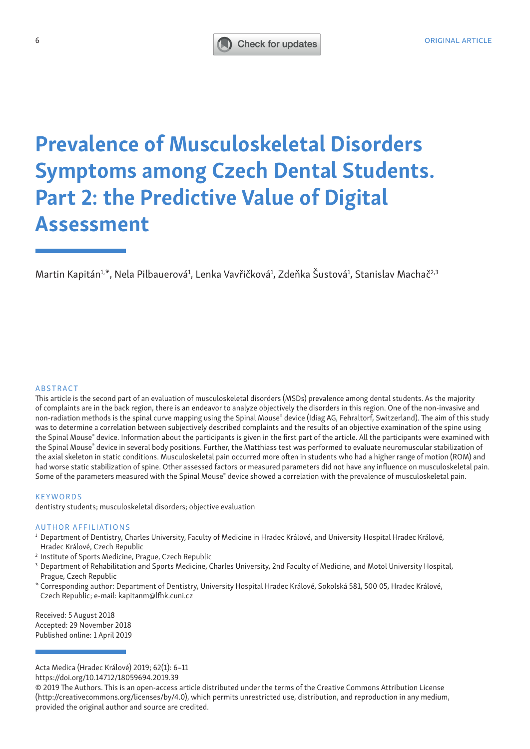# Prevalence of Musculoskeletal Disorders Symptoms among Czech Dental Students. Part 2: the Predictive Value of Digital Assessment

Martin Kapitán<sup>1,\*</sup>, Nela Pilbauerová<sup>1</sup>, Lenka Vavřičková<sup>1</sup>, Zdeňka Šustová<sup>1</sup>, Stanislav Machač<sup>2,3</sup>

## ABSTRACT

This article is the second part of an evaluation of musculoskeletal disorders (MSDs) prevalence among dental students. As the majority of complaints are in the back region, there is an endeavor to analyze objectively the disorders in this region. One of the non-invasive and non-radiation methods is the spinal curve mapping using the Spinal Mouse® device (Idiag AG, Fehraltorf, Switzerland). The aim of this study was to determine a correlation between subjectively described complaints and the results of an objective examination of the spine using the Spinal Mouse® device. Information about the participants is given in the first part of the article. All the participants were examined with the Spinal Mouse® device in several body positions. Further, the Matthiass test was performed to evaluate neuromuscular stabilization of the axial skeleton in static conditions. Musculoskeletal pain occurred more often in students who had a higher range of motion (ROM) and had worse static stabilization of spine. Other assessed factors or measured parameters did not have any influence on musculoskeletal pain. Some of the parameters measured with the Spinal Mouse® device showed a correlation with the prevalence of musculoskeletal pain.

## **KEYWORDS**

dentistry students; musculoskeletal disorders; objective evaluation

## AUTHOR AFFILIATIONS

- <sup>1</sup> Department of Dentistry, Charles University, Faculty of Medicine in Hradec Králové, and University Hospital Hradec Králové, Hradec Králové, Czech Republic
- <sup>2</sup> Institute of Sports Medicine, Prague, Czech Republic
- <sup>3</sup> Department of Rehabilitation and Sports Medicine, Charles University, 2nd Faculty of Medicine, and Motol University Hospital, Prague, Czech Republic
- \* Corresponding author: Department of Dentistry, University Hospital Hradec Králové, Sokolská 581, 500 05, Hradec Králové, Czech Republic; e-mail: kapitanm@lfhk.cuni.cz

Received: 5 August 2018 Accepted: 29 November 2018 Published online: 1 April 2019

https://doi.org/10.14712/18059694.2019.39

Acta Medica (Hradec Králové) 2019; 62(1): 6–11

<sup>© 2019</sup> The Authors. This is an open-access article distributed under the terms of the Creative Commons Attribution License (http://creativecommons.org/licenses/by/4.0), which permits unrestricted use, distribution, and reproduction in any medium, provided the original author and source are credited.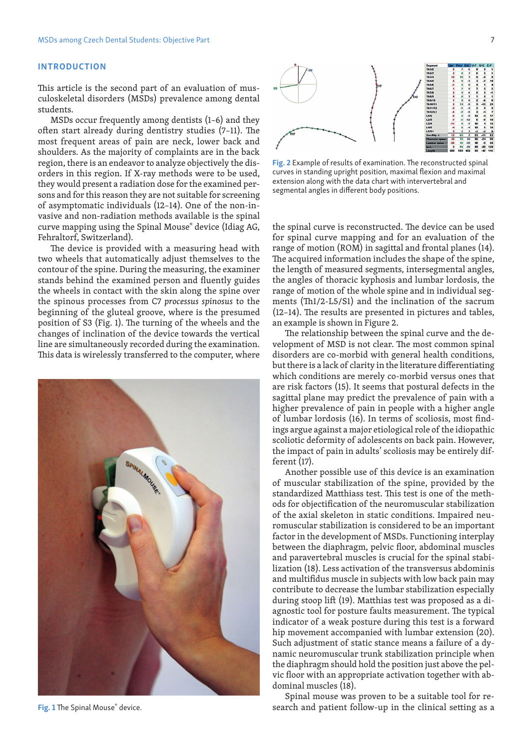### INTRODUCTION

This article is the second part of an evaluation of musculoskeletal disorders (MSDs) prevalence among dental students.

MSDs occur frequently among dentists (1–6) and they often start already during dentistry studies (7–11). The most frequent areas of pain are neck, lower back and shoulders. As the majority of complaints are in the back region, there is an endeavor to analyze objectively the disorders in this region. If X-ray methods were to be used, they would present a radiation dose for the examined persons and for this reason they are not suitable for screening of asymptomatic individuals (12–14). One of the non-invasive and non-radiation methods available is the spinal curve mapping using the Spinal Mouse® device (Idiag AG, Fehraltorf, Switzerland).

The device is provided with a measuring head with two wheels that automatically adjust themselves to the contour of the spine. During the measuring, the examiner stands behind the examined person and fluently guides the wheels in contact with the skin along the spine over the spinous processes from C7 *processus spinosus* to the beginning of the gluteal groove, where is the presumed position of S3 (Fig. 1). The turning of the wheels and the changes of inclination of the device towards the vertical line are simultaneously recorded during the examination. This data is wirelessly transferred to the computer, where



Fig. 1 The Spinal Mouse® device.



Fig. 2 Example of results of examination. The reconstructed spinal curves in standing upright position, maximal flexion and maximal extension along with the data chart with intervertebral and segmental angles in different body positions.

the spinal curve is reconstructed. The device can be used for spinal curve mapping and for an evaluation of the range of motion (ROM) in sagittal and frontal planes (14). The acquired information includes the shape of the spine, the length of measured segments, intersegmental angles, the angles of thoracic kyphosis and lumbar lordosis, the range of motion of the whole spine and in individual segments (Th1/2-L5/S1) and the inclination of the sacrum (12–14). The results are presented in pictures and tables, an example is shown in Figure 2.

The relationship between the spinal curve and the development of MSD is not clear. The most common spinal disorders are co-morbid with general health conditions, but there is a lack of clarity in the literature differentiating which conditions are merely co-morbid versus ones that are risk factors (15). It seems that postural defects in the sagittal plane may predict the prevalence of pain with a higher prevalence of pain in people with a higher angle of lumbar lordosis (16). In terms of scoliosis, most findings argue against a major etiological role of the idiopathic scoliotic deformity of adolescents on back pain. However, the impact of pain in adults' scoliosis may be entirely different (17).

Another possible use of this device is an examination of muscular stabilization of the spine, provided by the standardized Matthiass test. This test is one of the methods for objectification of the neuromuscular stabilization of the axial skeleton in static conditions. Impaired neuromuscular stabilization is considered to be an important factor in the development of MSDs. Functioning interplay between the diaphragm, pelvic floor, abdominal muscles and paravertebral muscles is crucial for the spinal stabilization (18). Less activation of the transversus abdominis and multifidus muscle in subjects with low back pain may contribute to decrease the lumbar stabilization especially during stoop lift (19). Matthias test was proposed as a diagnostic tool for posture faults measurement. The typical indicator of a weak posture during this test is a forward hip movement accompanied with lumbar extension (20). Such adjustment of static stance means a failure of a dynamic neuromuscular trunk stabilization principle when the diaphragm should hold the position just above the pelvic floor with an appropriate activation together with abdominal muscles (18).

Spinal mouse was proven to be a suitable tool for research and patient follow-up in the clinical setting as a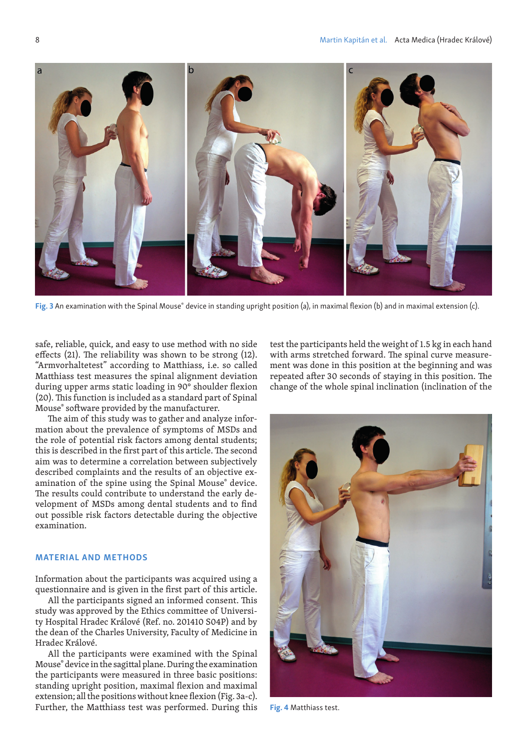

Fig. 3 An examination with the Spinal Mouse® device in standing upright position (a), in maximal flexion (b) and in maximal extension (c).

safe, reliable, quick, and easy to use method with no side effects (21). The reliability was shown to be strong (12). "Armvorhaltetest" according to Matthiass, i.e. so called Matthiass test measures the spinal alignment deviation during upper arms static loading in 90° shoulder flexion (20). This function is included as a standard part of Spinal Mouse® software provided by the manufacturer.

The aim of this study was to gather and analyze information about the prevalence of symptoms of MSDs and the role of potential risk factors among dental students; this is described in the first part of this article. The second aim was to determine a correlation between subjectively described complaints and the results of an objective examination of the spine using the Spinal Mouse® device. The results could contribute to understand the early development of MSDs among dental students and to find out possible risk factors detectable during the objective examination.

## MATERIAL AND METHODS

Information about the participants was acquired using a questionnaire and is given in the first part of this article.

All the participants signed an informed consent. This study was approved by the Ethics committee of University Hospital Hradec Králové (Ref. no. 201410 S04P) and by the dean of the Charles University, Faculty of Medicine in Hradec Králové.

All the participants were examined with the Spinal Mouse® device in the sagittal plane. During the examination the participants were measured in three basic positions: standing upright position, maximal flexion and maximal extension; all the positions without knee flexion (Fig. 3a-c). Further, the Matthiass test was performed. During this

test the participants held the weight of 1.5 kg in each hand with arms stretched forward. The spinal curve measurement was done in this position at the beginning and was repeated after 30 seconds of staying in this position. The change of the whole spinal inclination (inclination of the



Fig. 4 Matthiass test.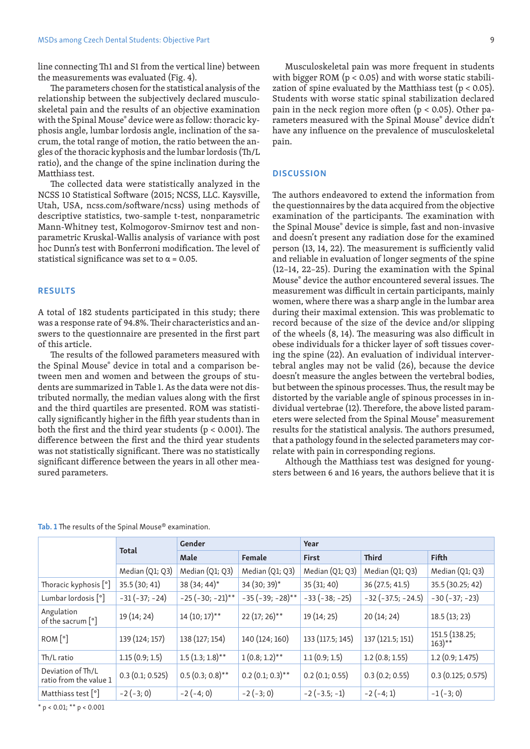line connecting Th1 and S1 from the vertical line) between the measurements was evaluated (Fig. 4).

The parameters chosen for the statistical analysis of the relationship between the subjectively declared musculoskeletal pain and the results of an objective examination with the Spinal Mouse® device were as follow: thoracic kyphosis angle, lumbar lordosis angle, inclination of the sacrum, the total range of motion, the ratio between the angles of the thoracic kyphosis and the lumbar lordosis (Th/L ratio), and the change of the spine inclination during the Matthiass test.

The collected data were statistically analyzed in the NCSS 10 Statistical Software (2015; NCSS, LLC. Kaysville, Utah, USA, ncss.com/software/ncss) using methods of descriptive statistics, two-sample t-test, nonparametric Mann-Whitney test, Kolmogorov-Smirnov test and nonparametric Kruskal-Wallis analysis of variance with post hoc Dunn's test with Bonferroni modification. The level of statistical significance was set to  $\alpha$  = 0.05.

#### RESULTS

A total of 182 students participated in this study; there was a response rate of 94.8%. Their characteristics and answers to the questionnaire are presented in the first part of this article.

The results of the followed parameters measured with the Spinal Mouse® device in total and a comparison between men and women and between the groups of students are summarized in Table 1. As the data were not distributed normally, the median values along with the first and the third quartiles are presented. ROM was statistically significantly higher in the fifth year students than in both the first and the third year students ( $p < 0.001$ ). The difference between the first and the third year students was not statistically significant. There was no statistically significant difference between the years in all other measured parameters.

Musculoskeletal pain was more frequent in students with bigger ROM (p < 0.05) and with worse static stabilization of spine evaluated by the Matthiass test ( $p < 0.05$ ). Students with worse static spinal stabilization declared pain in the neck region more often ( $p < 0.05$ ). Other parameters measured with the Spinal Mouse® device didn't have any influence on the prevalence of musculoskeletal pain.

#### **DISCUSSION**

The authors endeavored to extend the information from the questionnaires by the data acquired from the objective examination of the participants. The examination with the Spinal Mouse® device is simple, fast and non-invasive and doesn't present any radiation dose for the examined person (13, 14, 22). The measurement is sufficiently valid and reliable in evaluation of longer segments of the spine (12–14, 22–25). During the examination with the Spinal Mouse® device the author encountered several issues. The measurement was difficult in certain participants, mainly women, where there was a sharp angle in the lumbar area during their maximal extension. This was problematic to record because of the size of the device and/or slipping of the wheels (8, 14). The measuring was also difficult in obese individuals for a thicker layer of soft tissues covering the spine (22). An evaluation of individual intervertebral angles may not be valid (26), because the device doesn't measure the angles between the vertebral bodies, but between the spinous processes. Thus, the result may be distorted by the variable angle of spinous processes in individual vertebrae (12). Therefore, the above listed parameters were selected from the Spinal Mouse® measurement results for the statistical analysis. The authors presumed, that a pathology found in the selected parameters may correlate with pain in corresponding regions.

Although the Matthiass test was designed for youngsters between 6 and 16 years, the authors believe that it is

|                                             | <b>Total</b>    | Gender             |                    | Year             |                     |                             |
|---------------------------------------------|-----------------|--------------------|--------------------|------------------|---------------------|-----------------------------|
|                                             |                 | Male               | Female             | <b>First</b>     | <b>Third</b>        | <b>Fifth</b>                |
|                                             | Median (Q1; Q3) | Median (Q1; Q3)    | Median (Q1; Q3)    | Median (Q1; Q3)  | Median (Q1; Q3)     | Median (Q1; Q3)             |
| Thoracic kyphosis [°]                       | 35.5(30; 41)    | 38 (34; 44)*       | 34 (30; 39)*       | 35(31; 40)       | 36 (27.5; 41.5)     | 35.5 (30.25; 42)            |
| Lumbar lordosis [°]                         | $-31(-37; -24)$ | $-25(-30; -21)$ ** | $-35(-39; -28)$ ** | $-33(-38; -25)$  | $-32(-37.5; -24.5)$ | $-30(-37; -23)$             |
| Angulation<br>of the sacrum [°]             | 19(14; 24)      | $14(10;17)$ **     | 22 (17; 26)**      | 19 (14; 25)      | 20(14; 24)          | 18.5(13; 23)                |
| ROM [°]                                     | 139 (124; 157)  | 138 (127; 154)     | 140 (124; 160)     | 133 (117.5; 145) | 137 (121.5; 151)    | 151.5 (138.25;<br>$163)$ ** |
| Th/L ratio                                  | 1.15(0.9; 1.5)  | $1.5(1.3; 1.8)$ ** | $1(0.8; 1.2)$ **   | 1.1(0.9; 1.5)    | 1.2(0.8; 1.55)      | 1.2(0.9; 1.475)             |
| Deviation of Th/L<br>ratio from the value 1 | 0.3(0.1; 0.525) | $0.5(0.3; 0.8)$ ** | $0.2(0.1; 0.3)$ ** | 0.2(0.1; 0.55)   | 0.3(0.2; 0.55)      | 0.3(0.125; 0.575)           |
| Matthiass test [°]                          | $-2(-3; 0)$     | $-2(-4; 0)$        | $-2(-3; 0)$        | $-2(-3.5; -1)$   | $-2(-4;1)$          | $-1(-3; 0)$                 |

Tab. 1 The results of the Spinal Mouse<sup>®</sup> examination.

 $*$  p < 0.01;  $**$  p < 0.001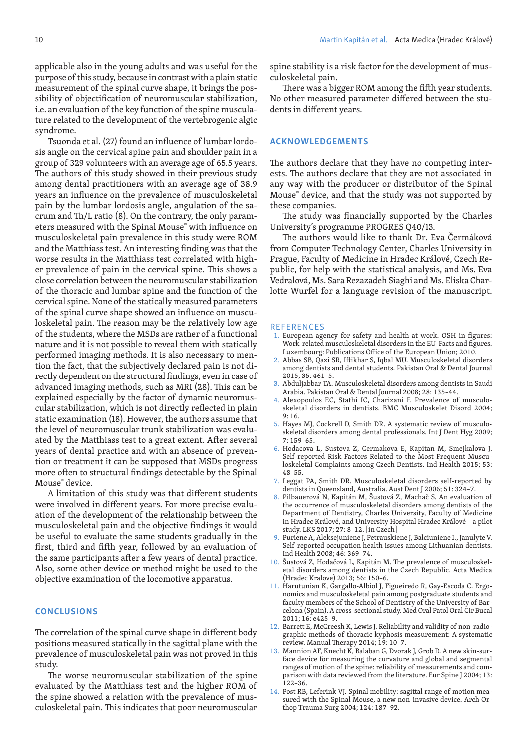applicable also in the young adults and was useful for the purpose of this study, because in contrast with a plain static measurement of the spinal curve shape, it brings the possibility of objectification of neuromuscular stabilization, i.e. an evaluation of the key function of the spine musculature related to the development of the vertebrogenic algic syndrome.

Tsuonda et al. (27) found an influence of lumbar lordosis angle on the cervical spine pain and shoulder pain in a group of 329 volunteers with an average age of 65.5 years. The authors of this study showed in their previous study among dental practitioners with an average age of 38.9 years an influence on the prevalence of musculoskeletal pain by the lumbar lordosis angle, angulation of the sacrum and Th/L ratio (8). On the contrary, the only parameters measured with the Spinal Mouse® with influence on musculoskeletal pain prevalence in this study were ROM and the Matthiass test. An interesting finding was that the worse results in the Matthiass test correlated with higher prevalence of pain in the cervical spine. This shows a close correlation between the neuromuscular stabilization of the thoracic and lumbar spine and the function of the cervical spine. None of the statically measured parameters of the spinal curve shape showed an influence on musculoskeletal pain. The reason may be the relatively low age of the students, where the MSDs are rather of a functional nature and it is not possible to reveal them with statically performed imaging methods. It is also necessary to mention the fact, that the subjectively declared pain is not directly dependent on the structural findings, even in case of advanced imaging methods, such as MRI (28). This can be explained especially by the factor of dynamic neuromuscular stabilization, which is not directly reflected in plain static examination (18). However, the authors assume that the level of neuromuscular trunk stabilization was evaluated by the Matthiass test to a great extent. After several years of dental practice and with an absence of prevention or treatment it can be supposed that MSDs progress more often to structural findings detectable by the Spinal Mouse® device.

A limitation of this study was that different students were involved in different years. For more precise evaluation of the development of the relationship between the musculoskeletal pain and the objective findings it would be useful to evaluate the same students gradually in the first, third and fifth year, followed by an evaluation of the same participants after a few years of dental practice. Also, some other device or method might be used to the objective examination of the locomotive apparatus.

#### **CONCLUSIONS**

The correlation of the spinal curve shape in different body positions measured statically in the sagittal plane with the prevalence of musculoskeletal pain was not proved in this study.

The worse neuromuscular stabilization of the spine evaluated by the Matthiass test and the higher ROM of the spine showed a relation with the prevalence of musculoskeletal pain. This indicates that poor neuromuscular

spine stability is a risk factor for the development of musculoskeletal pain.

There was a bigger ROM among the fifth year students. No other measured parameter differed between the students in different years.

#### ACKNOWLEDGEMENTS

The authors declare that they have no competing interests. The authors declare that they are not associated in any way with the producer or distributor of the Spinal Mouse® device, and that the study was not supported by these companies.

The study was financially supported by the Charles University's programme PROGRES Q40/13.

The authors would like to thank Dr. Eva Čermáková from Computer Technology Center, Charles University in Prague, Faculty of Medicine in Hradec Králové, Czech Republic, for help with the statistical analysis, and Ms. Eva Vedralová, Ms. Sara Rezazadeh Siaghi and Ms. Eliska Charlotte Wurfel for a language revision of the manuscript.

#### **REFERENCES**

- 1. European agency for safety and health at work. OSH in figures: Work-related musculoskeletal disorders in the EU-Facts and figures. Luxembourg: Publications Office of the European Union; 2010.
- 2. Abbas SB, Qazi SR, Iftikhar S, Iqbal MU. Musculoskeletal disorders among dentists and dental students. Pakistan Oral & Dental Journal 2015; 35: 461–5.
- 3. Abduljabbar TA. Musculoskeletal disorders among dentists in Saudi Arabia. Pakistan Oral & Dental Journal 2008; 28: 135–44.
- 4. Alexopoulos EC, Stathi IC, Charizani F. Prevalence of musculoskeletal disorders in dentists. BMC Musculoskelet Disord 2004; 9: 16.
- 5. Hayes MJ, Cockrell D, Smith DR. A systematic review of musculoskeletal disorders among dental professionals. Int J Dent Hyg 2009; 7: 159–65.
- 6. Hodacova L, Sustova Z, Cermakova E, Kapitan M, Smejkalova J. Self-reported Risk Factors Related to the Most Frequent Musculoskeletal Complaints among Czech Dentists. Ind Health 2015; 53: 48–55.
- 7. Leggat PA, Smith DR. Musculoskeletal disorders self-reported by dentists in Queensland, Australia. Aust Dent J 2006; 51: 324–7.
- 8. Pilbauerová N, Kapitán M, Šustová Z, Machač S. An evaluation of the occurrence of musculoskeletal disorders among dentists of the Department of Dentistry, Charles University, Faculty of Medicine in Hradec Králové, and University Hospital Hradec Králové – a pilot study. LKS 2017; 27: 8–12. [in Czech]
- 9. Puriene A, Aleksejuniene J, Petrauskiene J, Balciuniene I., Janulyte V. Self-reported occupation health issues among Lithuanian dentists. Ind Health 2008; 46: 369–74.
- 10. Šustová Z, Hodačová L, Kapitán M. The prevalence of musculoskeletal disorders among dentists in the Czech Republic. Acta Medica (Hradec Kralove) 2013; 56: 150–6.
- 11. Harutunian K, Gargallo-Albiol J, Figueiredo R, Gay-Escoda C. Ergonomics and musculoskeletal pain among postgraduate students and faculty members of the School of Dentistry of the University of Barcelona (Spain). A cross-sectional study. Med Oral Patol Oral Cir Bucal 2011; 16: e425–9.
- 12. Barrett E, McCreesh K, Lewis J. Reliability and validity of non-radiographic methods of thoracic kyphosis measurement: A systematic review. Manual Therapy 2014; 19: 10–7.
- 13. Mannion AF, Knecht K, Balaban G, Dvorak J, Grob D. A new skin-surface device for measuring the curvature and global and segmental ranges of motion of the spine: reliability of measurements and comparison with data reviewed from the literature. Eur Spine J 2004; 13: 122–36.
- 14. Post RB, Leferink VJ. Spinal mobility: sagittal range of motion measured with the Spinal Mouse, a new non-invasive device. Arch Orthop Trauma Surg 2004; 124: 187–92.